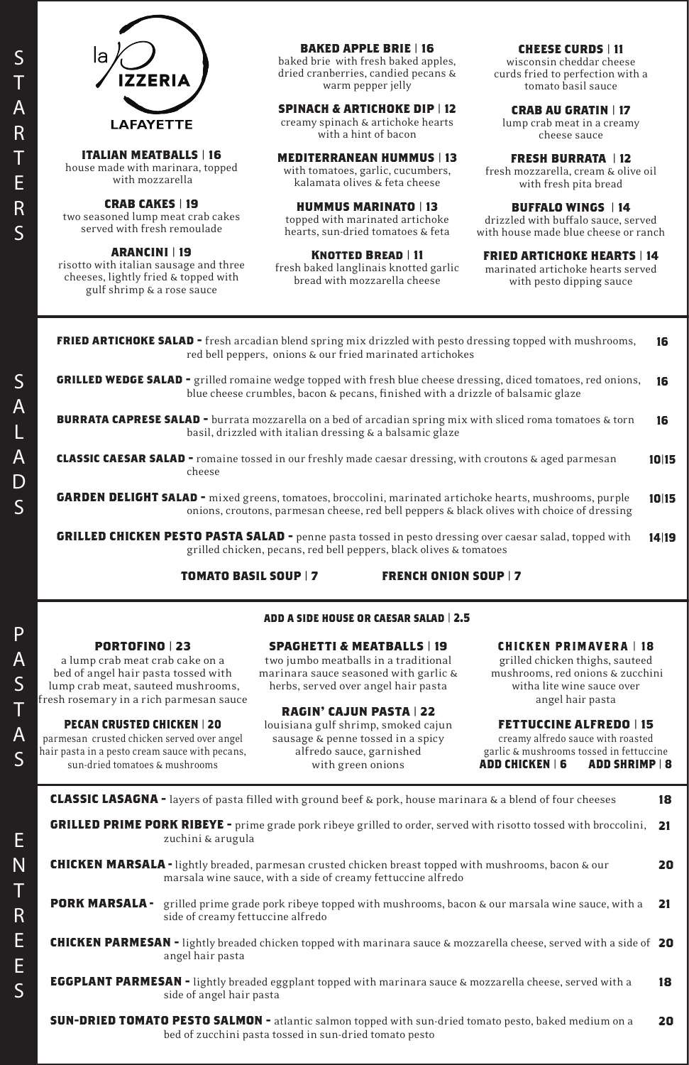la **IZZERIA LAFAYETTE** 

# S A L A D S

#### **ITALIAN MEATBALLS | 16**

house made with marinara, topped with mozzarella

#### **CRAB CAKES | 19**

two seasoned lump meat crab cakes served with fresh remoulade

#### **ARANCINI | 19**

risotto with italian sausage and three cheeses, lightly fried & topped with gulf shrimp & a rose sauce

#### **BAKED APPLE BRIE | 16**

baked brie with fresh baked apples, dried cranberries, candied pecans & warm pepper jelly

#### **SPINACH & ARTICHOKE DIP | 12**

creamy spinach & artichoke hearts with a hint of bacon

#### **MEDITERRANEAN HUMMUS | 13**

with tomatoes, garlic, cucumbers, kalamata olives & feta cheese

# **HUMMUS MARINATO | 13**

topped with marinated artichoke hearts, sun-dried tomatoes & feta

#### **Knotted Bread | 11**

fresh baked langlinais knotted garlic bread with mozzarella cheese

#### **CHEESE CURDS | 11**

wisconsin cheddar cheese curds fried to perfection with a tomato basil sauce

#### **CRAB AU GRATIN | 17**

lump crab meat in a creamy cheese sauce

#### **FRESH BURRATA | 12**

fresh mozzarella, cream & olive oil with fresh pita bread

#### **BUFFALO WINGS | 14**

drizzled with buffalo sauce, served with house made blue cheese or ranch

#### **FRIED ARTICHOKE HEARTS | 14**

marinated artichoke hearts served with pesto dipping sauce

#### **PORTOFINO | 23**

a lump crab meat crab cake on a bed of angel hair pasta tossed with lump crab meat, sauteed mushrooms, fresh rosemary in a rich parmesan sauce

#### **PECAN CRUSTED CHICKEN | 20**

parmesan crusted chicken served over angel hair pasta in a pesto cream sauce with pecans, sun-dried tomatoes & mushrooms

# **SPAGHETTI & MEATBALLS | 19**

two jumbo meatballs in a traditional marinara sauce seasoned with garlic & herbs, served over angel hair pasta

#### **RAGIN' CAJUN PASTA | 22**

louisiana gulf shrimp, smoked cajun sausage & penne tossed in a spicy alfredo sauce, garnished with green onions

#### **CHICKEN PRIMAVERA | 18**

grilled chicken thighs, sauteed mushrooms, red onions & zucchini witha lite wine sauce over angel hair pasta

#### **FETTUCCINE ALFREDO | 15**

creamy alfredo sauce with roasted garlic & mushrooms tossed in fettuccine **ADD CHICKEN | 6 ADD SHRIMP | 8**

**add a side house or caesar salad | 2.5**

| <b>FRIED ARTICHOKE SALAD</b> - fresh arcadian blend spring mix drizzled with pesto dressing topped with mushrooms,<br>red bell peppers, onions & our fried marinated artichokes                               | 16    |
|---------------------------------------------------------------------------------------------------------------------------------------------------------------------------------------------------------------|-------|
| <b>GRILLED WEDGE SALAD</b> - grilled romaine wedge topped with fresh blue cheese dressing, diced tomatoes, red onions,<br>blue cheese crumbles, bacon & pecans, finished with a drizzle of balsamic glaze     | 16    |
| <b>BURRATA CAPRESE SALAD</b> - burrata mozzarella on a bed of arcadian spring mix with sliced roma tomatoes & torn<br>basil, drizzled with italian dressing & a balsamic glaze                                | 16    |
| <b>CLASSIC CAESAR SALAD</b> - romaine tossed in our freshly made caesar dressing, with croutons & aged parmesan<br>cheese                                                                                     | 10 15 |
| <b>GARDEN DELIGHT SALAD</b> - mixed greens, tomatoes, broccolini, marinated artichoke hearts, mushrooms, purple<br>onions, croutons, parmesan cheese, red bell peppers & black olives with choice of dressing | 10 15 |
| <b>GRILLED CHICKEN PESTO PASTA SALAD -</b> penne pasta tossed in pesto dressing over caesar salad, topped with<br>grilled chicken, pecans, red bell peppers, black olives & tomatoes                          | 14 19 |
|                                                                                                                                                                                                               |       |

#### **TOMATO BASIL SOUP | 7 FRENCH ONION SOUP | 7**

**CLASSIC LASAGNA -** layers of pasta filled with ground beef & pork, house marinara & a blend of four cheeses

**GRILLED PRIME PORK RIBEYE -** prime grade pork ribeye grilled to order, served with risotto tossed with broccolini, zuchini & arugula **21**

**CHICKEN MARSALA -** lightly breaded, parmesan crusted chicken breast topped with mushrooms, bacon & our marsala wine sauce, with a side of creamy fettuccine alfredo **20**

**CHICKEN PARMESAN -** lightly breaded chicken topped with marinara sauce & mozzarella cheese, served with a side of **20** angel hair pasta

**PORK MARSALA -** grilled prime grade pork ribeye topped with mushrooms, bacon & our marsala wine sauce, with a side of creamy fettuccine alfredo **21**

**EGGPLANT PARMESAN -** lightly breaded eggplant topped with marinara sauce & mozzarella cheese, served with a side of angel hair pasta **18**

**SUN-DRIED TOMATO PESTO SALMON -** atlantic salmon topped with sun-dried tomato pesto, baked medium on a bed of zucchini pasta tossed in sun-dried tomato pesto **20**

**18**